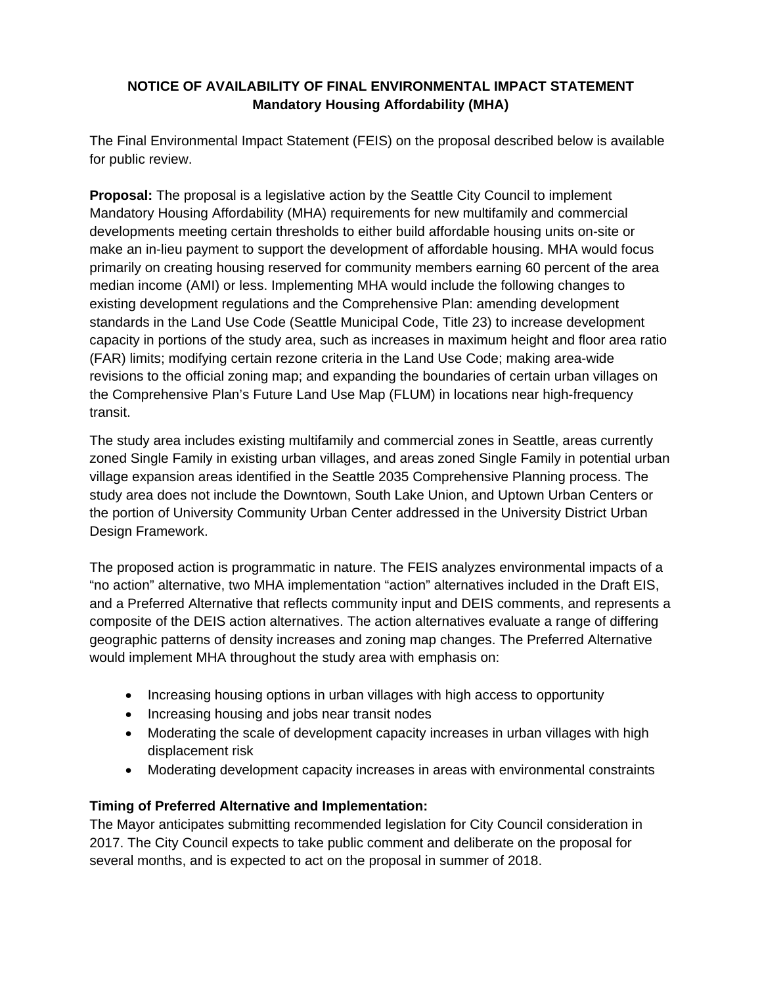# **NOTICE OF AVAILABILITY OF FINAL ENVIRONMENTAL IMPACT STATEMENT Mandatory Housing Affordability (MHA)**

The Final Environmental Impact Statement (FEIS) on the proposal described below is available for public review.

**Proposal:** The proposal is a legislative action by the Seattle City Council to implement Mandatory Housing Affordability (MHA) requirements for new multifamily and commercial developments meeting certain thresholds to either build affordable housing units on-site or make an in-lieu payment to support the development of affordable housing. MHA would focus primarily on creating housing reserved for community members earning 60 percent of the area median income (AMI) or less. Implementing MHA would include the following changes to existing development regulations and the Comprehensive Plan: amending development standards in the Land Use Code (Seattle Municipal Code, Title 23) to increase development capacity in portions of the study area, such as increases in maximum height and floor area ratio (FAR) limits; modifying certain rezone criteria in the Land Use Code; making area-wide revisions to the official zoning map; and expanding the boundaries of certain urban villages on the Comprehensive Plan's Future Land Use Map (FLUM) in locations near high-frequency transit.

The study area includes existing multifamily and commercial zones in Seattle, areas currently zoned Single Family in existing urban villages, and areas zoned Single Family in potential urban village expansion areas identified in the Seattle 2035 Comprehensive Planning process. The study area does not include the Downtown, South Lake Union, and Uptown Urban Centers or the portion of University Community Urban Center addressed in the University District Urban Design Framework.

The proposed action is programmatic in nature. The FEIS analyzes environmental impacts of a "no action" alternative, two MHA implementation "action" alternatives included in the Draft EIS, and a Preferred Alternative that reflects community input and DEIS comments, and represents a composite of the DEIS action alternatives. The action alternatives evaluate a range of differing geographic patterns of density increases and zoning map changes. The Preferred Alternative would implement MHA throughout the study area with emphasis on:

- Increasing housing options in urban villages with high access to opportunity
- Increasing housing and jobs near transit nodes
- Moderating the scale of development capacity increases in urban villages with high displacement risk
- Moderating development capacity increases in areas with environmental constraints

# **Timing of Preferred Alternative and Implementation:**

The Mayor anticipates submitting recommended legislation for City Council consideration in 2017. The City Council expects to take public comment and deliberate on the proposal for several months, and is expected to act on the proposal in summer of 2018.